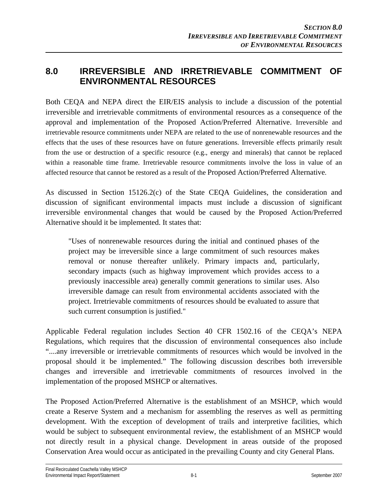## **8.0 IRREVERSIBLE AND IRRETRIEVABLE COMMITMENT OF ENVIRONMENTAL RESOURCES**

Both CEQA and NEPA direct the EIR/EIS analysis to include a discussion of the potential irreversible and irretrievable commitments of environmental resources as a consequence of the approval and implementation of the Proposed Action/Preferred Alternative. Irreversible and irretrievable resource commitments under NEPA are related to the use of nonrenewable resources and the effects that the uses of these resources have on future generations. Irreversible effects primarily result from the use or destruction of a specific resource (e.g., energy and minerals) that cannot be replaced within a reasonable time frame. Irretrievable resource commitments involve the loss in value of an affected resource that cannot be restored as a result of the Proposed Action/Preferred Alternative.

As discussed in Section 15126.2(c) of the State CEQA Guidelines, the consideration and discussion of significant environmental impacts must include a discussion of significant irreversible environmental changes that would be caused by the Proposed Action/Preferred Alternative should it be implemented. It states that:

"Uses of nonrenewable resources during the initial and continued phases of the project may be irreversible since a large commitment of such resources makes removal or nonuse thereafter unlikely. Primary impacts and, particularly, secondary impacts (such as highway improvement which provides access to a previously inaccessible area) generally commit generations to similar uses. Also irreversible damage can result from environmental accidents associated with the project. Irretrievable commitments of resources should be evaluated to assure that such current consumption is justified."

Applicable Federal regulation includes Section 40 CFR 1502.16 of the CEQA's NEPA Regulations, which requires that the discussion of environmental consequences also include "....any irreversible or irretrievable commitments of resources which would be involved in the proposal should it be implemented." The following discussion describes both irreversible changes and irreversible and irretrievable commitments of resources involved in the implementation of the proposed MSHCP or alternatives.

The Proposed Action/Preferred Alternative is the establishment of an MSHCP, which would create a Reserve System and a mechanism for assembling the reserves as well as permitting development. With the exception of development of trails and interpretive facilities, which would be subject to subsequent environmental review, the establishment of an MSHCP would not directly result in a physical change. Development in areas outside of the proposed Conservation Area would occur as anticipated in the prevailing County and city General Plans.